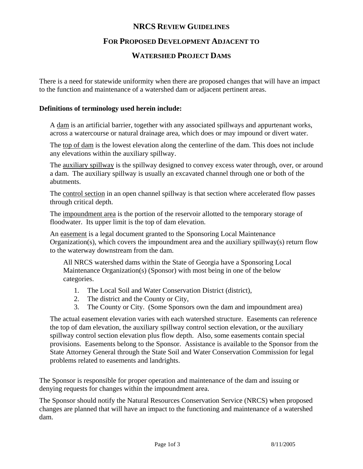# **NRCS REVIEW GUIDELINES**

## **FOR PROPOSED DEVELOPMENT ADJACENT TO**

## **WATERSHED PROJECT DAMS**

There is a need for statewide uniformity when there are proposed changes that will have an impact to the function and maintenance of a watershed dam or adjacent pertinent areas.

#### **Definitions of terminology used herein include:**

A dam is an artificial barrier, together with any associated spillways and appurtenant works, across a watercourse or natural drainage area, which does or may impound or divert water.

The top of dam is the lowest elevation along the centerline of the dam. This does not include any elevations within the auxiliary spillway.

The auxiliary spillway is the spillway designed to convey excess water through, over, or around a dam. The auxiliary spillway is usually an excavated channel through one or both of the abutments.

The control section in an open channel spillway is that section where accelerated flow passes through critical depth.

The impoundment area is the portion of the reservoir allotted to the temporary storage of floodwater. Its upper limit is the top of dam elevation.

An easement is a legal document granted to the Sponsoring Local Maintenance Organization(s), which covers the impoundment area and the auxiliary spillway(s) return flow to the waterway downstream from the dam.

All NRCS watershed dams within the State of Georgia have a Sponsoring Local Maintenance Organization(s) (Sponsor) with most being in one of the below categories.

- 1. The Local Soil and Water Conservation District (district),
- 2. The district and the County or City,
- 3. The County or City. (Some Sponsors own the dam and impoundment area)

The actual easement elevation varies with each watershed structure. Easements can reference the top of dam elevation, the auxiliary spillway control section elevation, or the auxiliary spillway control section elevation plus flow depth. Also, some easements contain special provisions. Easements belong to the Sponsor. Assistance is available to the Sponsor from the State Attorney General through the State Soil and Water Conservation Commission for legal problems related to easements and landrights.

The Sponsor is responsible for proper operation and maintenance of the dam and issuing or denying requests for changes within the impoundment area.

The Sponsor should notify the Natural Resources Conservation Service (NRCS) when proposed changes are planned that will have an impact to the functioning and maintenance of a watershed dam.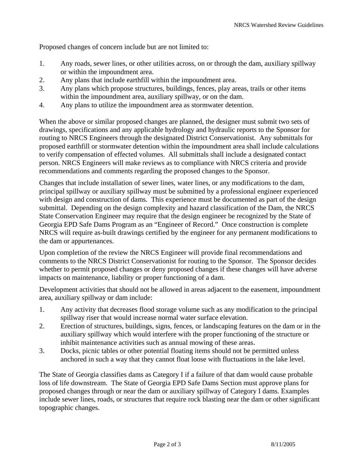Proposed changes of concern include but are not limited to:

- 1. Any roads, sewer lines, or other utilities across, on or through the dam, auxiliary spillway or within the impoundment area.
- 2. Any plans that include earthfill within the impoundment area.
- 3. Any plans which propose structures, buildings, fences, play areas, trails or other items within the impoundment area, auxiliary spillway, or on the dam.
- 4. Any plans to utilize the impoundment area as stormwater detention.

When the above or similar proposed changes are planned, the designer must submit two sets of drawings, specifications and any applicable hydrology and hydraulic reports to the Sponsor for routing to NRCS Engineers through the designated District Conservationist. Any submittals for proposed earthfill or stormwater detention within the impoundment area shall include calculations to verify compensation of effected volumes. All submittals shall include a designated contact person. NRCS Engineers will make reviews as to compliance with NRCS criteria and provide recommendations and comments regarding the proposed changes to the Sponsor.

Changes that include installation of sewer lines, water lines, or any modifications to the dam, principal spillway or auxiliary spillway must be submitted by a professional engineer experienced with design and construction of dams. This experience must be documented as part of the design submittal. Depending on the design complexity and hazard classification of the Dam, the NRCS State Conservation Engineer may require that the design engineer be recognized by the State of Georgia EPD Safe Dams Program as an "Engineer of Record." Once construction is complete NRCS will require as-built drawings certified by the engineer for any permanent modifications to the dam or appurtenances.

Upon completion of the review the NRCS Engineer will provide final recommendations and comments to the NRCS District Conservationist for routing to the Sponsor. The Sponsor decides whether to permit proposed changes or deny proposed changes if these changes will have adverse impacts on maintenance, liability or proper functioning of a dam.

Development activities that should not be allowed in areas adjacent to the easement, impoundment area, auxiliary spillway or dam include:

- 1. Any activity that decreases flood storage volume such as any modification to the principal spillway riser that would increase normal water surface elevation.
- 2. Erection of structures, buildings, signs, fences, or landscaping features on the dam or in the auxiliary spillway which would interfere with the proper functioning of the structure or inhibit maintenance activities such as annual mowing of these areas.
- 3. Docks, picnic tables or other potential floating items should not be permitted unless anchored in such a way that they cannot float loose with fluctuations in the lake level.

The State of Georgia classifies dams as Category I if a failure of that dam would cause probable loss of life downstream. The State of Georgia EPD Safe Dams Section must approve plans for proposed changes through or near the dam or auxiliary spillway of Category I dams. Examples include sewer lines, roads, or structures that require rock blasting near the dam or other significant topographic changes.